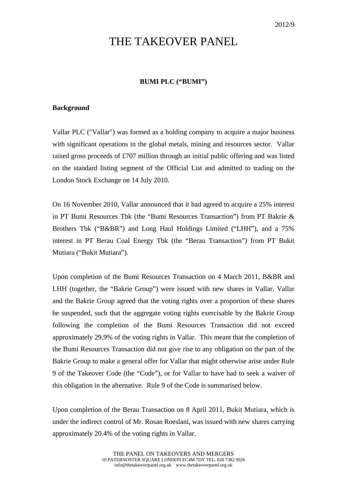# THE TAKEOVER PANEL

## **BUMI PLC ("BUMI")**

#### **Background**

Vallar PLC ("Vallar") was formed as a holding company to acquire a major business with significant operations in the global metals, mining and resources sector. Vallar raised gross proceeds of £707 million through an initial public offering and was listed on the standard listing segment of the Official List and admitted to trading on the London Stock Exchange on 14 July 2010.

On 16 November 2010, Vallar announced that it had agreed to acquire a 25% interest in PT Bumi Resources Tbk (the "Bumi Resources Transaction") from PT Bakrie & Brothers Tbk ("B&BR") and Long Haul Holdings Limited ("LHH"), and a 75% interest in PT Berau Coal Energy Tbk (the "Berau Transaction") from PT Bukit Mutiara ("Bukit Mutiara").

Upon completion of the Bumi Resources Transaction on 4 March 2011, B&BR and LHH (together, the "Bakrie Group") were issued with new shares in Vallar. Vallar and the Bakrie Group agreed that the voting rights over a proportion of these shares be suspended, such that the aggregate voting rights exercisable by the Bakrie Group following the completion of the Bumi Resources Transaction did not exceed approximately 29.9% of the voting rights in Vallar. This meant that the completion of the Bumi Resources Transaction did not give rise to any obligation on the part of the Bakrie Group to make a general offer for Vallar that might otherwise arise under Rule 9 of the Takeover Code (the "Code"), or for Vallar to have had to seek a waiver of this obligation in the alternative. Rule 9 of the Code is summarised below.

Upon completion of the Berau Transaction on 8 April 2011, Bukit Mutiara, which is under the indirect control of Mr. Rosan Roeslani, was issued with new shares carrying approximately 20.4% of the voting rights in Vallar.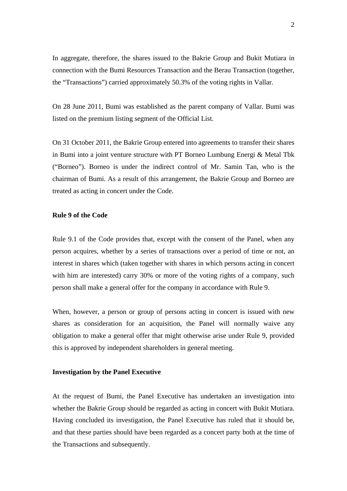In aggregate, therefore, the shares issued to the Bakrie Group and Bukit Mutiara in connection with the Bumi Resources Transaction and the Berau Transaction (together, the "Transactions") carried approximately 50.3% of the voting rights in Vallar.

On 28 June 2011, Bumi was established as the parent company of Vallar. Bumi was listed on the premium listing segment of the Official List.

On 31 October 2011, the Bakrie Group entered into agreements to transfer their shares in Bumi into a joint venture structure with PT Borneo Lumbung Energi & Metal Tbk ("Borneo"). Borneo is under the indirect control of Mr. Samin Tan, who is the chairman of Bumi. As a result of this arrangement, the Bakrie Group and Borneo are treated as acting in concert under the Code.

### **Rule 9 of the Code**

Rule 9.1 of the Code provides that, except with the consent of the Panel, when any person acquires, whether by a series of transactions over a period of time or not, an interest in shares which (taken together with shares in which persons acting in concert with him are interested) carry 30% or more of the voting rights of a company, such person shall make a general offer for the company in accordance with Rule 9.

When, however, a person or group of persons acting in concert is issued with new shares as consideration for an acquisition, the Panel will normally waive any obligation to make a general offer that might otherwise arise under Rule 9, provided this is approved by independent shareholders in general meeting.

#### **Investigation by the Panel Executive**

At the request of Bumi, the Panel Executive has undertaken an investigation into whether the Bakrie Group should be regarded as acting in concert with Bukit Mutiara. Having concluded its investigation, the Panel Executive has ruled that it should be, and that these parties should have been regarded as a concert party both at the time of the Transactions and subsequently.